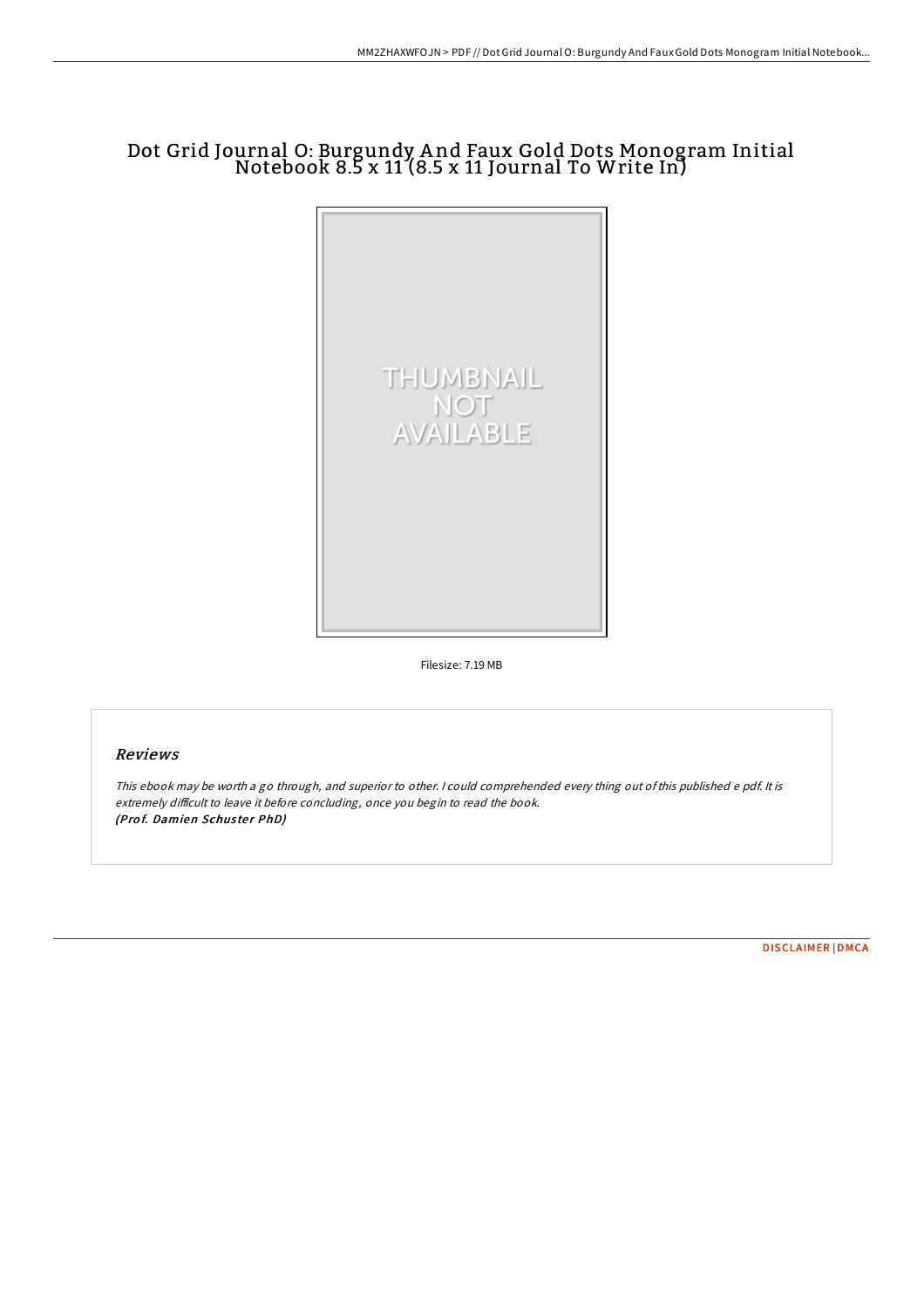# Dot Grid Journal O: Burgundy A nd Faux Gold Dots Monogram Initial Notebook 8.5 x 11 (8.5 x 11 Journal To Write In)



Filesize: 7.19 MB

## Reviews

This ebook may be worth <sup>a</sup> go through, and superior to other. <sup>I</sup> could comprehended every thing out ofthis published <sup>e</sup> pdf. It is extremely difficult to leave it before concluding, once you begin to read the book. (Prof. Damien Schuster PhD)

[DISCLAIMER](http://almighty24.tech/disclaimer.html) | [DMCA](http://almighty24.tech/dmca.html)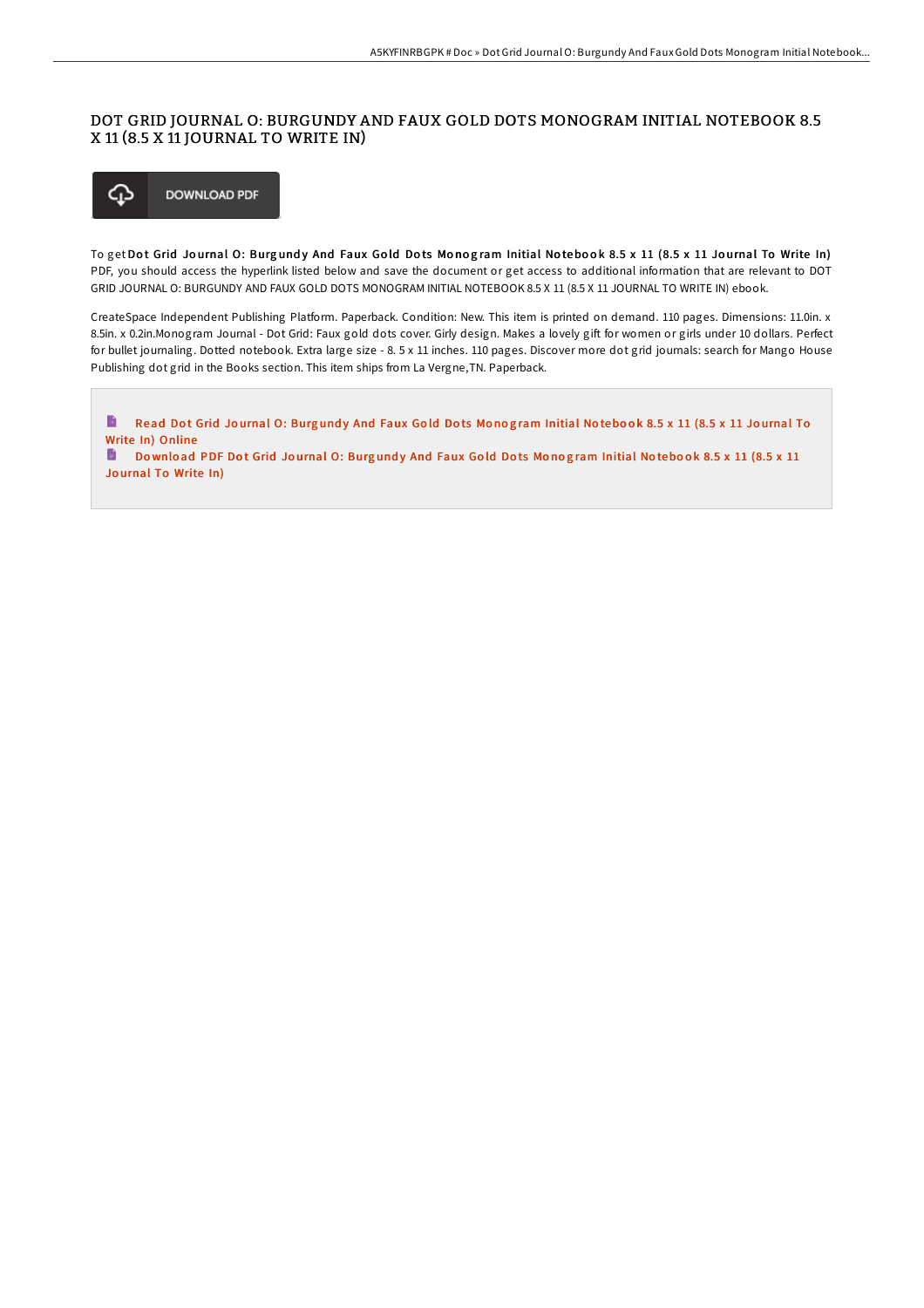### DOT GRID JOURNAL O: BURGUNDY AND FAUX GOLD DOTS MONOGRAM INITIAL NOTEBOOK 8.5 X 11 (8.5 X 11 JOURNAL TO WRITE IN)



To get Dot Grid Journal O: Burgundy And Faux Gold Dots Monogram Initial Notebook 8.5 x 11 (8.5 x 11 Journal To Write In) PDF, you should access the hyperlink listed below and save the document or get access to additional information that are relevant to DOT GRID JOURNAL O: BURGUNDY AND FAUX GOLD DOTS MONOGRAM INITIAL NOTEBOOK 8.5 X 11 (8.5 X 11 JOURNAL TO WRITE IN) ebook.

CreateSpace Independent Publishing Platform. Paperback. Condition: New. This item is printed on demand. 110 pages. Dimensions: 11.0in. x 8.5in. x 0.2in.Monogram Journal - Dot Grid: Faux gold dots cover. Girly design. Makes a lovely gift for women or girls under 10 dollars. Perfect for bullet journaling. Dotted notebook. Extra large size - 8. 5 x 11 inches. 110 pages. Discover more dot grid journals: search for Mango House Publishing dot grid in the Books section. This item ships from La Vergne,TN. Paperback.